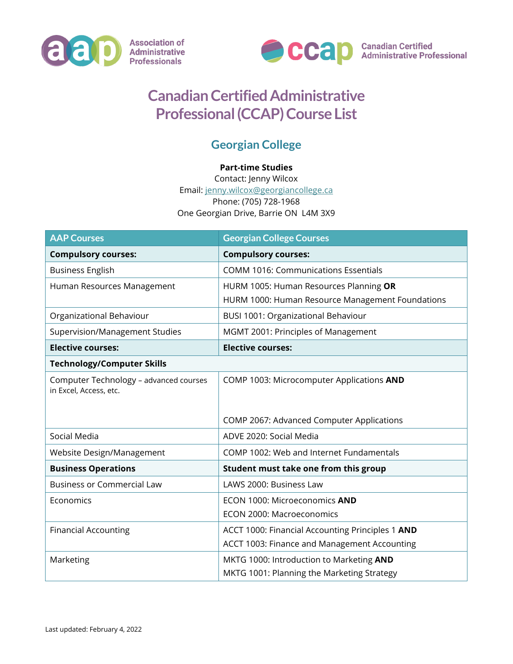



## **Canadian Certified Administrative Professional (CCAP) Course List**

## **Georgian College**

## **Part-time Studies**

Contact: Jenny Wilcox Email: [jenny.wilcox@georgiancollege.ca](mailto:jenny.wilcox@georgiancollege.ca) Phone: (705) 728-1968 One Georgian Drive, Barrie ON L4M 3X9

| <b>AAP Courses</b>                                               | <b>Georgian College Courses</b>                  |
|------------------------------------------------------------------|--------------------------------------------------|
| <b>Compulsory courses:</b>                                       | <b>Compulsory courses:</b>                       |
| <b>Business English</b>                                          | <b>COMM 1016: Communications Essentials</b>      |
| Human Resources Management                                       | HURM 1005: Human Resources Planning OR           |
|                                                                  | HURM 1000: Human Resource Management Foundations |
| Organizational Behaviour                                         | BUSI 1001: Organizational Behaviour              |
| Supervision/Management Studies                                   | MGMT 2001: Principles of Management              |
| <b>Elective courses:</b>                                         | <b>Elective courses:</b>                         |
| <b>Technology/Computer Skills</b>                                |                                                  |
| Computer Technology - advanced courses<br>in Excel, Access, etc. | COMP 1003: Microcomputer Applications AND        |
|                                                                  | COMP 2067: Advanced Computer Applications        |
| Social Media                                                     | ADVE 2020: Social Media                          |
| Website Design/Management                                        | COMP 1002: Web and Internet Fundamentals         |
| <b>Business Operations</b>                                       | Student must take one from this group            |
| <b>Business or Commercial Law</b>                                | LAWS 2000: Business Law                          |
| Economics                                                        | ECON 1000: Microeconomics AND                    |
|                                                                  | ECON 2000: Macroeconomics                        |
| <b>Financial Accounting</b>                                      | ACCT 1000: Financial Accounting Principles 1 AND |
|                                                                  | ACCT 1003: Finance and Management Accounting     |
| Marketing                                                        | MKTG 1000: Introduction to Marketing AND         |
|                                                                  | MKTG 1001: Planning the Marketing Strategy       |